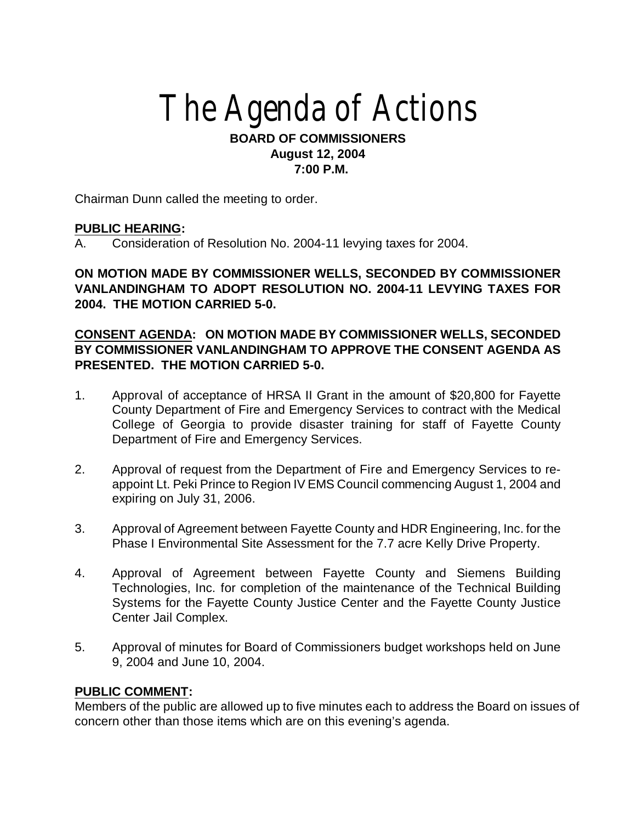# The Agenda of Actions

#### **BOARD OF COMMISSIONERS August 12, 2004 7:00 P.M.**

Chairman Dunn called the meeting to order.

#### **PUBLIC HEARING:**

A. Consideration of Resolution No. 2004-11 levying taxes for 2004.

**ON MOTION MADE BY COMMISSIONER WELLS, SECONDED BY COMMISSIONER VANLANDINGHAM TO ADOPT RESOLUTION NO. 2004-11 LEVYING TAXES FOR 2004. THE MOTION CARRIED 5-0.**

## **CONSENT AGENDA: ON MOTION MADE BY COMMISSIONER WELLS, SECONDED BY COMMISSIONER VANLANDINGHAM TO APPROVE THE CONSENT AGENDA AS PRESENTED. THE MOTION CARRIED 5-0.**

- 1. Approval of acceptance of HRSA II Grant in the amount of \$20,800 for Fayette County Department of Fire and Emergency Services to contract with the Medical College of Georgia to provide disaster training for staff of Fayette County Department of Fire and Emergency Services.
- 2. Approval of request from the Department of Fire and Emergency Services to reappoint Lt. Peki Prince to Region IV EMS Council commencing August 1, 2004 and expiring on July 31, 2006.
- 3. Approval of Agreement between Fayette County and HDR Engineering, Inc. for the Phase I Environmental Site Assessment for the 7.7 acre Kelly Drive Property.
- 4. Approval of Agreement between Fayette County and Siemens Building Technologies, Inc. for completion of the maintenance of the Technical Building Systems for the Fayette County Justice Center and the Fayette County Justice Center Jail Complex.
- 5. Approval of minutes for Board of Commissioners budget workshops held on June 9, 2004 and June 10, 2004.

#### **PUBLIC COMMENT:**

Members of the public are allowed up to five minutes each to address the Board on issues of concern other than those items which are on this evening's agenda.